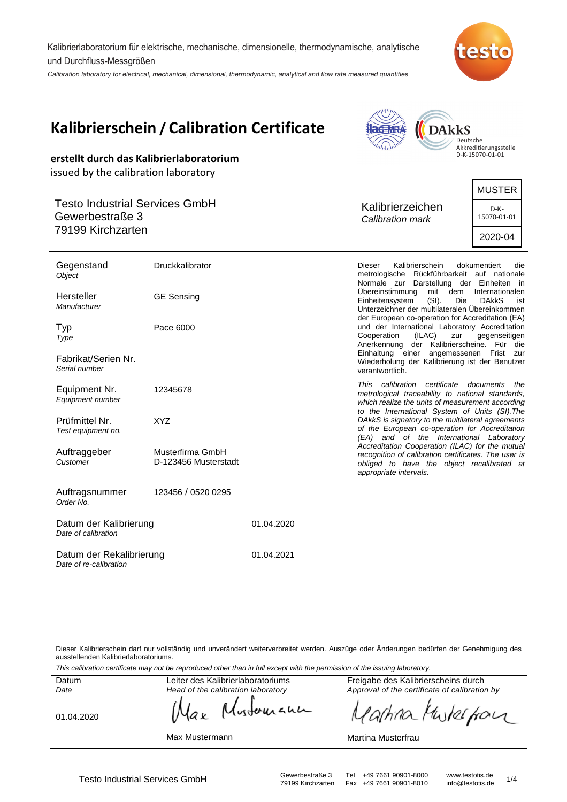Kalibrierlaboratorium für elektrische, mechanische, dimensionelle, thermodynamische, analytische und Durchfluss-Messgrößen

Calibration laboratory for electrical, mechanical, dimensional, thermodynamic, analytical and flow rate measured quantities



| <b>Kalibrierschein / Calibration Certificate</b><br>erstellt durch das Kalibrierlaboratorium                          |                                          |            | <b>DAkkS</b><br>Deutsche<br>Akkreditierungsstelle<br>D-K-15070-01-01                                                                                                                                                                                                                                                  |  |  |
|-----------------------------------------------------------------------------------------------------------------------|------------------------------------------|------------|-----------------------------------------------------------------------------------------------------------------------------------------------------------------------------------------------------------------------------------------------------------------------------------------------------------------------|--|--|
| issued by the calibration laboratory<br><b>Testo Industrial Services GmbH</b><br>Gewerbestraße 3<br>79199 Kirchzarten |                                          |            | <b>MUSTER</b><br>Kalibrierzeichen<br>D-K-<br>15070-01-01<br>Calibration mark<br>2020-04                                                                                                                                                                                                                               |  |  |
| Gegenstand<br><b>Object</b><br>Hersteller<br>Manufacturer                                                             | Druckkalibrator<br><b>GE Sensing</b>     |            | Kalibrierschein<br>dokumentiert<br><b>Dieser</b><br>die<br>metrologische Rückführbarkeit auf nationale<br>Normale zur Darstellung der Einheiten in<br>Übereinstimmung<br>dem<br>mit<br>Internationalen<br>Einheitensystem<br>$(SI)$ .<br>Die<br><b>DAKKS</b><br>ist<br>Unterzeichner der multilateralen Übereinkommen |  |  |
| Typ<br>Type<br>Fabrikat/Serien Nr.<br>Serial number                                                                   | Pace 6000                                |            | der European co-operation for Accreditation (EA)<br>und der International Laboratory Accreditation<br>Cooperation<br>(ILAC)<br>gegenseitigen<br>zur<br>Anerkennung der Kalibrierscheine. Für die<br>Einhaltung einer angemessenen Frist zur<br>Wiederholung der Kalibrierung ist der Benutzer<br>verantwortlich.      |  |  |
| Equipment Nr.<br>Equipment number                                                                                     | 12345678                                 |            | This calibration certificate documents the<br>metrological traceability to national standards,<br>which realize the units of measurement according                                                                                                                                                                    |  |  |
| Prüfmittel Nr.<br>Test equipment no.                                                                                  | <b>XYZ</b>                               |            | to the International System of Units (SI). The<br>DAkkS is signatory to the multilateral agreements<br>of the European co-operation for Accreditation<br>(EA) and of the International Laboratory                                                                                                                     |  |  |
| Auftraggeber<br>Customer                                                                                              | Musterfirma GmbH<br>D-123456 Musterstadt |            | Accreditation Cooperation (ILAC) for the mutual<br>recognition of calibration certificates. The user is<br>obliged to have the object recalibrated at<br>appropriate intervals.                                                                                                                                       |  |  |
| Auftragsnummer<br>Order No.                                                                                           | 123456 / 0520 0295                       |            |                                                                                                                                                                                                                                                                                                                       |  |  |
| Datum der Kalibrierung<br>Date of calibration                                                                         |                                          | 01.04.2020 |                                                                                                                                                                                                                                                                                                                       |  |  |
| Datum der Rekalibrierung<br>Date of re-calibration                                                                    |                                          | 01.04.2021 |                                                                                                                                                                                                                                                                                                                       |  |  |

Dieser Kalibrierschein darf nur vollständig und unverändert weiterverbreitet werden. Auszüge oder Änderungen bedürfen der Genehmigung des ausstellenden Kalibrierlaboratoriums.

This calibration certificate may not be reproduced other than in full except with the permission of the issuing laboratory.

Datum Date

Head of the calibration laboratory

01.04.2020

Max Mustermann

Freigabe des Kalibrierscheins durch Approval of the certificate of calibration by

arhina Muskerfor

Martina Musterfrau

Testo Industrial Services GmbH<br>79199 Kirchzarten Fax +49 7661 90901-8010 info@testotis.de 1/4 Fax +49 7661 90901-8010

where an ak

# Leiter des Kalibrierlaboratoriums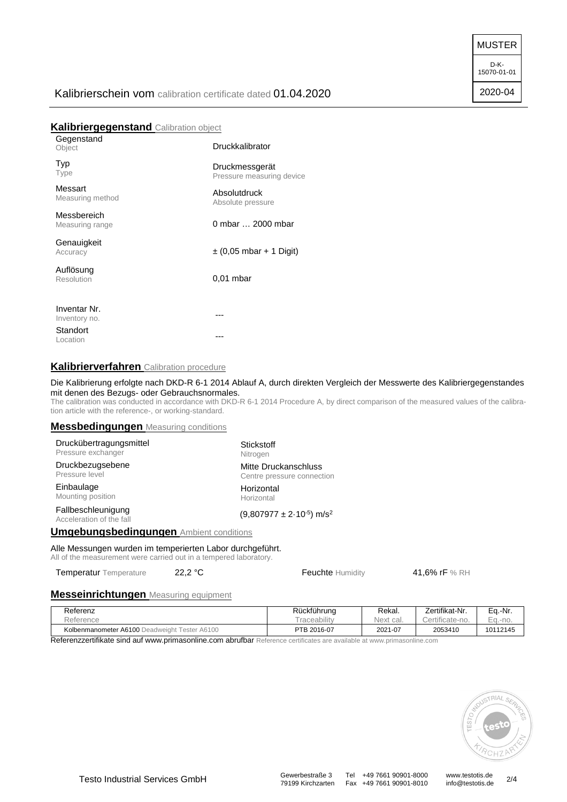MUSTER

D-K-15070-01-01

2020-04

# Kalibrierschein vom calibration certificate dated 01.04.2020

## **Kalibriergegenstand** Calibration object

| Gegenstand<br>Object           | Druckkalibrator                             |
|--------------------------------|---------------------------------------------|
| Typ<br>Type                    | Druckmessgerät<br>Pressure measuring device |
| Messart<br>Measuring method    | Absolutdruck<br>Absolute pressure           |
| Messbereich<br>Measuring range | 0 mbar  2000 mbar                           |
| Genauigkeit<br>Accuracy        | $\pm$ (0,05 mbar + 1 Digit)                 |
| Auflösung<br>Resolution        | $0.01$ mbar                                 |
| Inventar Nr.                   |                                             |
| Inventory no.                  |                                             |
| Standort<br>Location           |                                             |

## **Kalibrierverfahren** Calibration procedure

#### Die Kalibrierung erfolgte nach DKD-R 6-1 2014 Ablauf A, durch direkten Vergleich der Messwerte des Kalibriergegenstandes mit denen des Bezugs- oder Gebrauchsnormales.

The calibration was conducted in accordance with DKD-R 6-1 2014 Procedure A, by direct comparison of the measured values of the calibration article with the reference-, or working-standard.

#### **Messbedingungen** Measuring conditions

| Druckübertragungsmittel                                                                                                                                                         | <b>Stickstoff</b>                           |  |  |  |
|---------------------------------------------------------------------------------------------------------------------------------------------------------------------------------|---------------------------------------------|--|--|--|
| Pressure exchanger                                                                                                                                                              | Nitrogen                                    |  |  |  |
| Druckbezugsebene                                                                                                                                                                | Mitte Druckanschluss                        |  |  |  |
| Pressure level                                                                                                                                                                  | Centre pressure connection                  |  |  |  |
| Einbaulage                                                                                                                                                                      | Horizontal                                  |  |  |  |
| Mounting position                                                                                                                                                               | Horizontal                                  |  |  |  |
| Fallbeschleunigung<br>Acceleration of the fall                                                                                                                                  | $(9,807977 \pm 2.10^{-5})$ m/s <sup>2</sup> |  |  |  |
| <b>Umgebungsbedingungen Ambient conditions</b>                                                                                                                                  |                                             |  |  |  |
| Alle Messungen wurden im temperierten Labor durchgeführt.<br>All of the second constant comes a confert of the original constitution of the second second second and the second |                                             |  |  |  |

All of the measurement were carried out in a tempered laboratory.

Temperatur Temperature 22,2 °C Feuchte Humidity 41,6% rF % RH

#### **Messeinrichtungen** Measuring equipment

| Referenz<br>Reference                         | Rückführung<br><i>raceability</i> | Rekai.<br>Next<br><sup>+</sup> cal. | Zertifikat-Nr.<br>Certificate-no. | Ea.-Nr.<br>Ea.-no. |
|-----------------------------------------------|-----------------------------------|-------------------------------------|-----------------------------------|--------------------|
| Kolbenmanometer A6100 Deadweight Tester A6100 | PTB 2016-07                       | 2021-07                             | 2053410                           | 10112145           |

Referenzzertifikate sind auf www.primasonline.com abrufbar Reference certificates are available at www.primasonline.com



Fax +49 7661 90901-8010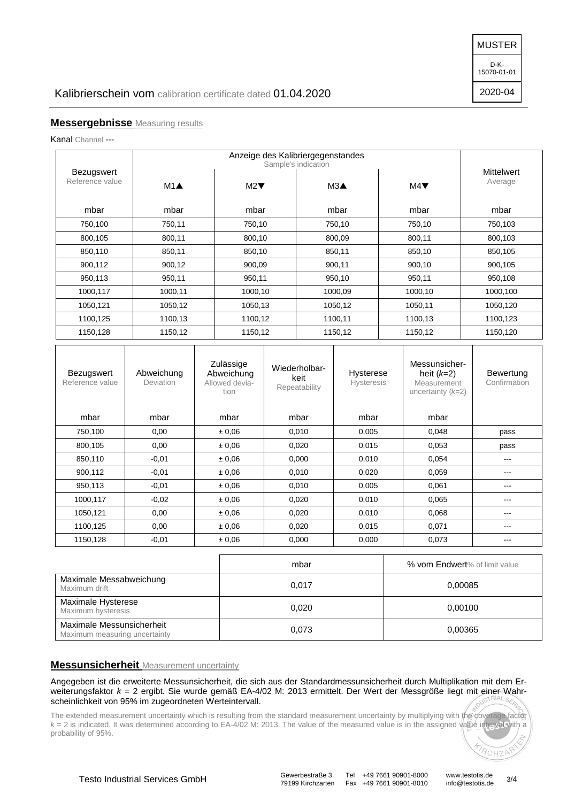MUSTER

D-K-15070-01-01

2020-04

## **Messergebnisse** Measuring results

Kanal Channel ---

| Bezugswert<br>Reference value | $M1$ <b>A</b> | M2      | Sample's indication<br>$M3\triangle$ | M4      | <b>Mittelwert</b><br>Average |  |
|-------------------------------|---------------|---------|--------------------------------------|---------|------------------------------|--|
| mbar                          | mbar          | mbar    | mbar                                 | mbar    | mbar                         |  |
| 750,100                       | 750,11        | 750,10  | 750,10                               | 750,10  | 750,103                      |  |
| 800,105                       | 800,11        | 800,10  | 800,09                               | 800,11  | 800,103                      |  |
| 850,110                       | 850,11        | 850,10  | 850,11                               | 850,10  | 850,105                      |  |
| 900,112                       | 900,12        | 900,09  | 900,11                               | 900,10  | 900,105                      |  |
| 950,113                       | 950,11        | 950,11  | 950,10                               | 950,11  | 950,108                      |  |
| 1000,117                      | 1000,11       | 1000,10 | 1000,09                              | 1000,10 | 1000,100                     |  |
| 1050,121                      | 1050,12       | 1050,13 | 1050,12                              | 1050,11 | 1050,120                     |  |
| 1100,125                      | 1100,13       | 1100,12 | 1100,11                              | 1100,13 | 1100,123                     |  |
| 1150,128                      | 1150,12       | 1150,12 | 1150,12                              | 1150,12 | 1150,120                     |  |

| <b>Bezugswert</b><br>Reference value | Abweichung<br>Deviation | Zulässige<br>Abweichung<br>Allowed devia-<br>tion | Wiederholbar-<br>keit<br>Repeatability | Hysterese<br><b>Hysteresis</b> | Messunsicher-<br>heit $(k=2)$<br>Measurement<br>uncertainty $(k=2)$ | Bewertung<br>Confirmation |
|--------------------------------------|-------------------------|---------------------------------------------------|----------------------------------------|--------------------------------|---------------------------------------------------------------------|---------------------------|
| mbar                                 | mbar                    | mbar                                              | mbar                                   | mbar                           | mbar                                                                |                           |
| 750,100                              | 0,00                    | ± 0,06                                            | 0,010                                  | 0,005                          | 0,048                                                               | pass                      |
| 800,105                              | 0,00                    | ± 0.06                                            | 0,020                                  | 0,015                          | 0,053                                                               | pass                      |
| 850,110                              | $-0,01$                 | ± 0,06                                            | 0,000                                  | 0,010                          | 0,054                                                               | ---                       |
| 900,112                              | $-0.01$                 | ± 0.06                                            | 0.010                                  | 0.020                          | 0,059                                                               | ---                       |
| 950,113                              | $-0,01$                 | ± 0,06                                            | 0,010                                  | 0,005                          | 0,061                                                               | ---                       |
| 1000,117                             | $-0.02$                 | ± 0.06                                            | 0,020                                  | 0.010                          | 0,065                                                               | ---                       |
| 1050,121                             | 0,00                    | ± 0,06                                            | 0,020                                  | 0,010                          | 0,068                                                               | ---                       |
| 1100,125                             | 0,00                    | ± 0.06                                            | 0,020                                  | 0,015                          | 0,071                                                               | ---                       |
| 1150,128                             | $-0,01$                 | ± 0,06                                            | 0,000                                  | 0,000                          | 0,073                                                               | ---                       |

|                                                            | mbar  | % vom Endwert% of limit value |
|------------------------------------------------------------|-------|-------------------------------|
| Maximale Messabweichung<br>Maximum drift                   | 0.017 | 0,00085                       |
| Maximale Hysterese<br>Maximum hysteresis                   | 0.020 | 0.00100                       |
| Maximale Messunsicherheit<br>Maximum measuring uncertainty | 0,073 | 0,00365                       |

## **Messunsicherheit** Measurement uncertainty

Angegeben ist die erweiterte Messunsicherheit, die sich aus der Standardmessunsicherheit durch Multiplikation mit dem Erweiterungsfaktor  $k = 2$  ergibt. Sie wurde gemäß EA-4/02 M: 2013 ermittelt. Der Wert der Messgröße liegt mit einer Wahrscheinlichkeit von 95% im zugeordneten Werteintervall.

The extended measurement uncertainty which is resulting from the standard measurement uncertainty by multiplying with the coverage factor  $k = 2$  is indicated. It was determined according to EA-4/02 M: 2013. The value of the measured value is in the assigned value interval with a probability of 95%.

79199 Kirchzarten Fax +49 7661 90901-8010

RCHZP